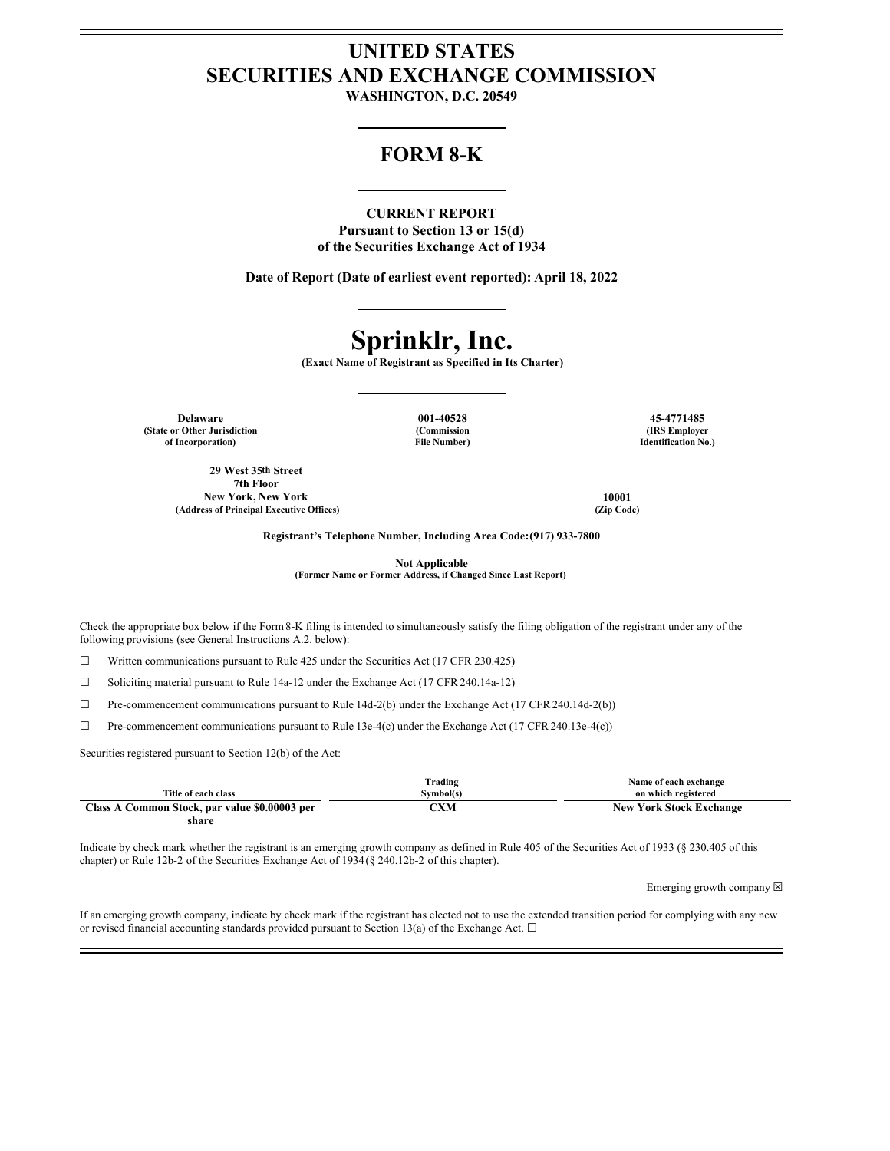## **UNITED STATES SECURITIES AND EXCHANGE COMMISSION**

**WASHINGTON, D.C. 20549**

### **FORM 8-K**

### **CURRENT REPORT**

**Pursuant to Section 13 or 15(d) of the Securities Exchange Act of 1934**

**Date of Report (Date of earliest event reported): April 18, 2022**

# **Sprinklr, Inc.**

**(Exact Name of Registrant as Specified in Its Charter)**

**(Commission**

**Delaware 001-40528 45-4771485 (State or Other Jurisdiction of Incorporation)**

**File Number)**

**29 West 35th Street 7th Floor New York, New York 10001 (Address of Principal Executive Offices) (Zip Code)**

**(IRS Employer Identification No.)**

**Registrant's Telephone Number, Including Area Code:(917) 933-7800**

**Not Applicable**

**(Former Name or Former Address, if Changed Since Last Report)**

Check the appropriate box below if the Form8-K filing is intended to simultaneously satisfy the filing obligation of the registrant under any of the following provisions (see General Instructions A.2. below):

☐ Written communications pursuant to Rule 425 under the Securities Act (17 CFR 230.425)

 $\Box$  Soliciting material pursuant to Rule 14a-12 under the Exchange Act (17 CFR 240.14a-12)

☐ Pre-commencement communications pursuant to Rule 14d-2(b) under the Exchange Act (17 CFR 240.14d-2(b))

☐ Pre-commencement communications pursuant to Rule 13e-4(c) under the Exchange Act (17 CFR 240.13e-4(c))

Securities registered pursuant to Section 12(b) of the Act:

|                                               | Trading   | Name of each exchange          |
|-----------------------------------------------|-----------|--------------------------------|
| Title of each class                           | Symbol(s) | on which registered            |
| Class A Common Stock, par value \$0.00003 per | °XM       | <b>New York Stock Exchange</b> |
| share                                         |           |                                |

Indicate by check mark whether the registrant is an emerging growth company as defined in Rule 405 of the Securities Act of 1933 (§ 230.405 of this chapter) or Rule 12b-2 of the Securities Exchange Act of 1934(§ 240.12b-2 of this chapter).

Emerging growth company  $\boxtimes$ 

If an emerging growth company, indicate by check mark if the registrant has elected not to use the extended transition period for complying with any new or revised financial accounting standards provided pursuant to Section 13(a) of the Exchange Act.  $\Box$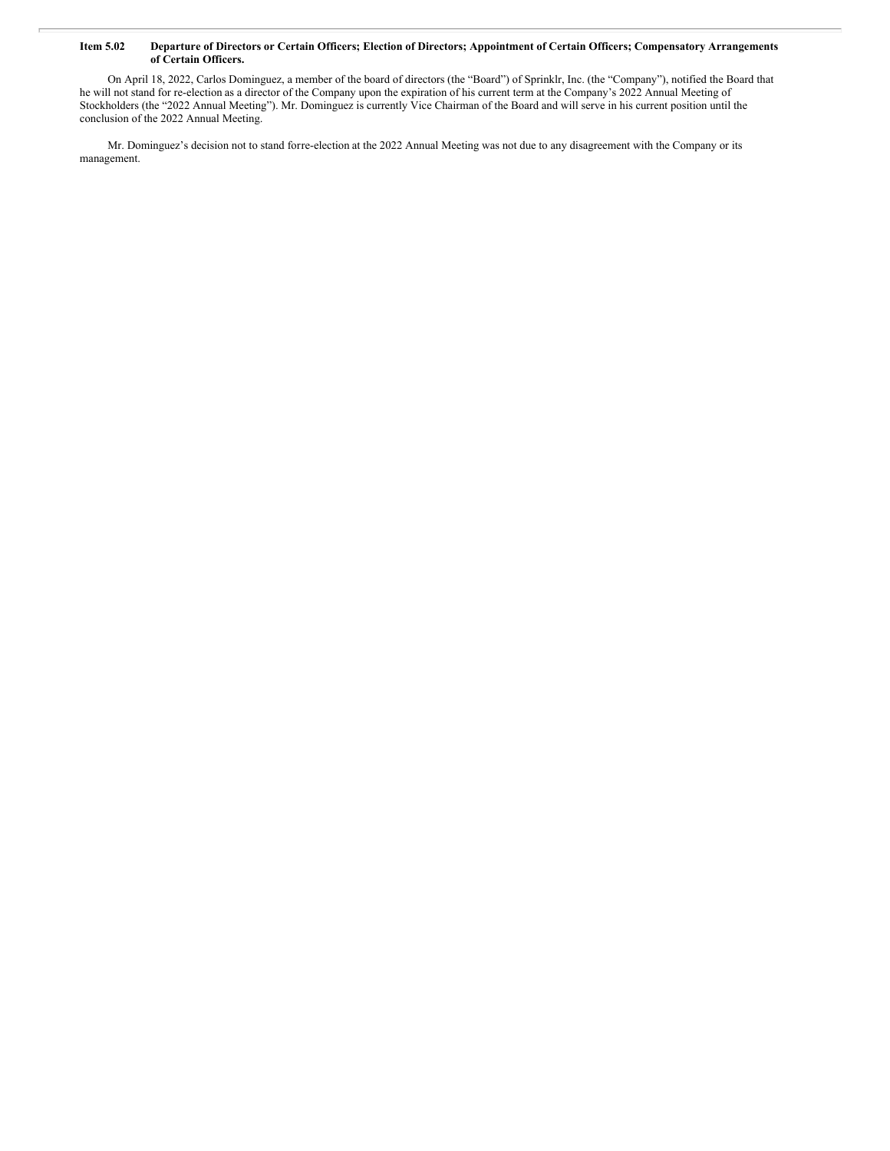#### Item 5.02 Departure of Directors or Certain Officers; Election of Directors; Appointment of Certain Officers; Compensatory Arrangements **of Certain Officers.**

On April 18, 2022, Carlos Dominguez, a member of the board of directors (the "Board") of Sprinklr, Inc. (the "Company"), notified the Board that he will not stand for re-election as a director of the Company upon the expiration of his current term at the Company's 2022 Annual Meeting of Stockholders (the "2022 Annual Meeting"). Mr. Dominguez is currently Vice Chairman of the Board and will serve in his current position until the conclusion of the 2022 Annual Meeting.

Mr. Dominguez's decision not to stand forre-election at the 2022 Annual Meeting was not due to any disagreement with the Company or its management.